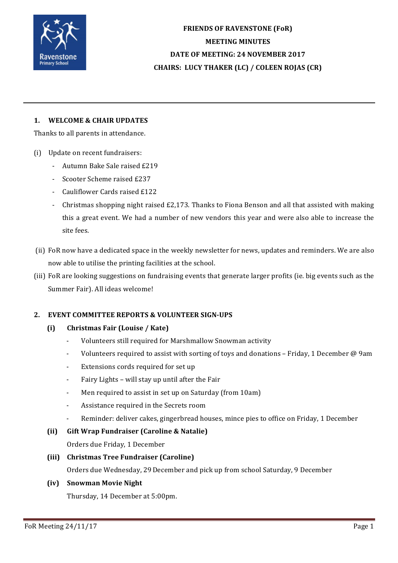

**FRIENDS OF RAVENSTONE (FoR) MEETING MINUTES DATE OF MEETING: 24 NOVEMBER 2017 CHAIRS: LUCY THAKER (LC) / COLEEN ROJAS (CR)**

## 1. **WELCOME & CHAIR UPDATES**

Thanks to all parents in attendance.

- (i) Update on recent fundraisers:
	- Autumn Bake Sale raised £219
	- Scooter Scheme raised £237
	- Cauliflower Cards raised £122
	- Christmas shopping night raised £2.173. Thanks to Fiona Benson and all that assisted with making this a great event. We had a number of new vendors this year and were also able to increase the site fees.
- (ii) FoR now have a dedicated space in the weekly newsletter for news, updates and reminders. We are also now able to utilise the printing facilities at the school.
- (iii) FoR are looking suggestions on fundraising events that generate larger profits (ie, big events such as the Summer Fair). All ideas welcome!

### **2. EVENT COMMITTEE REPORTS & VOLUNTEER SIGN-UPS**

- **(i) Christmas Fair (Louise / Kate)**
	- Volunteers still required for Marshmallow Snowman activity
	- Volunteers required to assist with sorting of toys and donations Friday, 1 December @ 9am
	- Extensions cords required for set up
	- Fairy Lights will stay up until after the Fair
	- Men required to assist in set up on Saturday (from 10am)
	- Assistance required in the Secrets room
	- Reminder: deliver cakes, gingerbread houses, mince pies to office on Friday, 1 December

### **(ii)** Gift Wrap Fundraiser (Caroline & Natalie)

Orders due Friday, 1 December

#### **(iii) Christmas Tree Fundraiser (Caroline)**

Orders due Wednesday, 29 December and pick up from school Saturday, 9 December

#### **(iv) Snowman Movie Night**

Thursday, 14 December at 5:00pm.